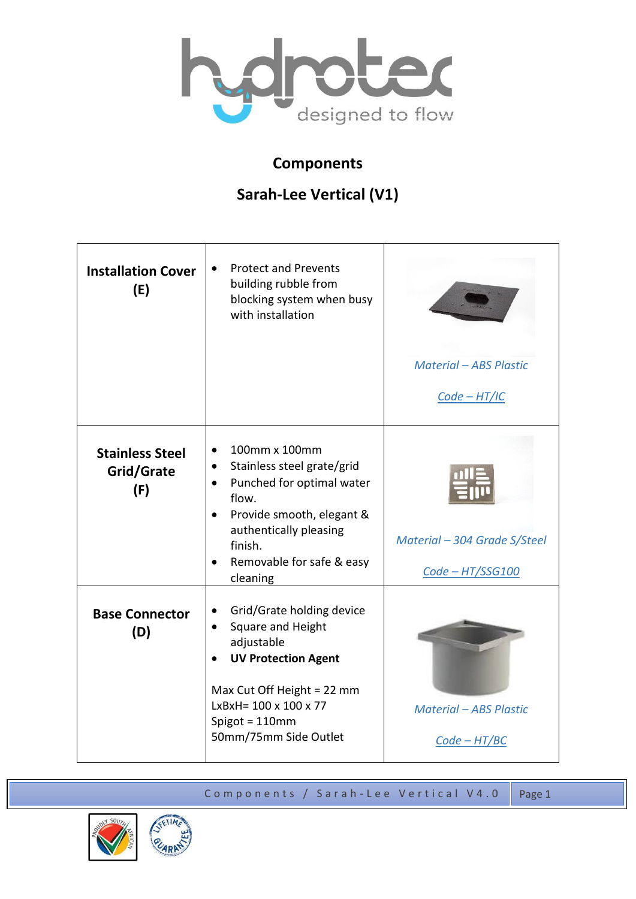

## **Components**

## **Sarah-Lee Vertical (V1)**

| <b>Installation Cover</b><br>(E)            | <b>Protect and Prevents</b><br>building rubble from<br>blocking system when busy<br>with installation                                                                                                                                                         | <b>Material - ABS Plastic</b><br>$Code - HT/IC$  |
|---------------------------------------------|---------------------------------------------------------------------------------------------------------------------------------------------------------------------------------------------------------------------------------------------------------------|--------------------------------------------------|
| <b>Stainless Steel</b><br>Grid/Grate<br>(F) | 100mm x 100mm<br>$\bullet$<br>Stainless steel grate/grid<br>$\bullet$<br>Punched for optimal water<br>$\bullet$<br>flow.<br>Provide smooth, elegant &<br>$\bullet$<br>authentically pleasing<br>finish.<br>Removable for safe & easy<br>$\bullet$<br>cleaning | Material - 304 Grade S/Steel<br>Code - HT/SSG100 |
| <b>Base Connector</b><br>(D)                | Grid/Grate holding device<br>$\bullet$<br>Square and Height<br>$\bullet$<br>adjustable<br><b>UV Protection Agent</b><br>Max Cut Off Height = 22 mm<br>$LxBxH = 100 \times 100 \times 77$<br>Spigot = 110mm<br>50mm/75mm Side Outlet                           | <b>Material - ABS Plastic</b><br>$Code - HT/BC$  |